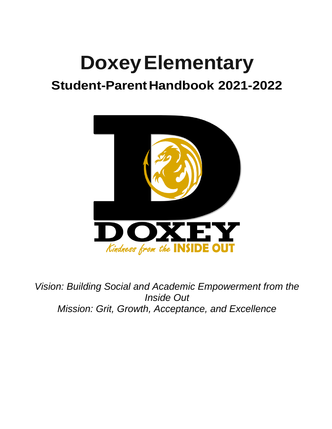# **DoxeyElementary**

# **Student-ParentHandbook 2021-2022**



*Vision: Building Social and Academic Empowerment from the Inside Out Mission: Grit, Growth, Acceptance, and Excellence*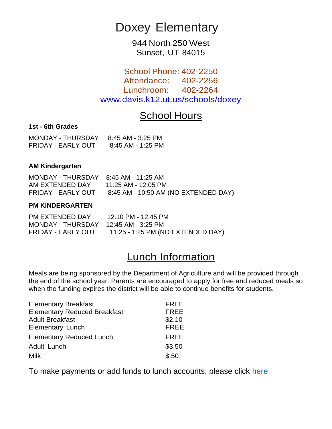## Doxey Elementary

944 North 250 West Sunset, UT 84015

School Phone: 402-2250 Attendance: 402-2256 Lunchroom: 402-2264 [www.davis.k12.ut.us/schools/doxey](http://www.davis.k12.ut.us/schools/doxey)

## School Hours

#### **1st - 6th Grades**

| <b>MONDAY - THURSDAY</b> | 8:45 AM - 3:25 PM |
|--------------------------|-------------------|
| FRIDAY - EARLY OUT       | 8:45 AM - 1:25 PM |

#### **AM Kindergarten**

| MONDAY - THURSDAY 8:45 AM - 11:25 AM |                                                         |
|--------------------------------------|---------------------------------------------------------|
| AM EXTENDED DAY                      | 11:25 AM - 12:05 PM                                     |
|                                      | FRIDAY - EARLY OUT 8:45 AM - 10:50 AM (NO EXTENDED DAY) |

#### **PM KINDERGARTEN**

| PM EXTENDED DAY                      | 12:10 PM - 12:45 PM               |
|--------------------------------------|-----------------------------------|
| MONDAY - THURSDAY 12:45 AM - 3:25 PM |                                   |
| FRIDAY - EARLY OUT                   | 11:25 - 1:25 PM (NO EXTENDED DAY) |

## Lunch Information

Meals are being sponsored by the Department of Agriculture and will be provided through the end of the school year. Parents are encouraged to apply for free and reduced meals so when the funding expires the district will be able to continue benefits for students.

| <b>Elementary Breakfast</b>         | <b>FREE</b> |
|-------------------------------------|-------------|
| <b>Elementary Reduced Breakfast</b> | <b>FREE</b> |
| <b>Adult Breakfast</b>              | \$2.10      |
| <b>Elementary Lunch</b>             | <b>FREE</b> |
| <b>Elementary Reduced Lunch</b>     | <b>FREE</b> |
| Adult Lunch                         | \$3.50      |
| Milk                                | \$.50       |

To make payments or add funds to lunch accounts, please click [here](https://mydsd.davis.k12.ut.us/Account/Login?ReturnUrl=%2f)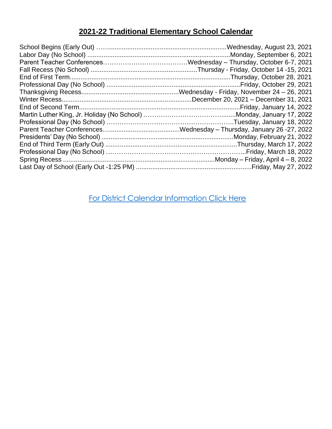### **2021-22 Traditional Elementary School Calendar**

[For District Calendar Information Click Here](https://resources.finalsite.net/images/v1626817147/davisk12utus/if9axrraapwxuz3akymp/2021-22Calendar.pdf)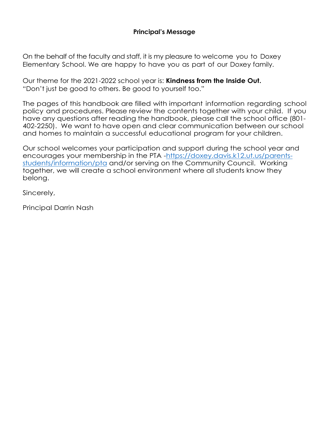#### **Principal's Message**

On the behalf of the faculty and staff, it is my pleasure to welcome you to Doxey Elementary School. We are happy to have you as part of our Doxey family.

Our theme for the 2021-2022 school year is: **Kindness from the Inside Out.** "Don't just be good to others. Be good to yourself too."

The pages of this handbook are filled with important information regarding school policy and procedures. Please review the contents together with your child. If you have any questions after reading the handbook, please call the school office (801- 402-2250). We want to have open and clear communication between our school and homes to maintain a successful educational program for your children.

Our school welcomes your participation and support during the school year and encourages your membership in the PTA [-https://doxey.davis.k12.ut.us/parents](https://doxey.davis.k12.ut.us/parents-students/information/pta)[students/information/pta](https://doxey.davis.k12.ut.us/parents-students/information/pta) and/or serving on the Community Council. Working together, we will create a school environment where all students know they belong.

Sincerely,

Principal Darrin Nash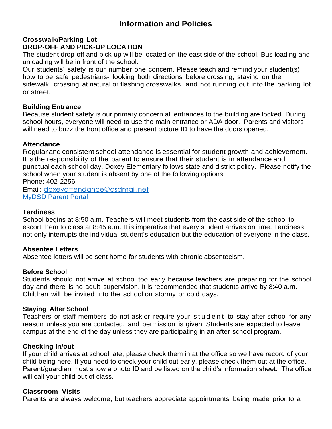#### **Information and Policies**

#### **Crosswalk/Parking Lot DROP-OFF AND PICK-UP LOCATION**

The student drop-off and pick-up will be located on the east side of the school. Bus loading and unloading will be in front of the school.

Our students' safety is our number one concern. Please teach and remind your student(s) how to be safe pedestrians- looking both directions before crossing, staying on the sidewalk, crossing at natural or flashing crosswalks, and not running out into the parking lot or street.

#### **Building Entrance**

Because student safety is our primary concern all entrances to the building are locked. During school hours, everyone will need to use the main entrance or ADA door. Parents and visitors will need to buzz the front office and present picture ID to have the doors opened.

#### **Attendance**

Regular and consistent school attendance is essential for student growth and achievement. It is the responsibility of the parent to ensure that their student is in attendance and punctual each school day. Doxey Elementary follows state and district policy. Please notify the school when your student is absent by one of the following options: Phone: 402-2256

Email: [doxeyattendance@dsdmail.net](mailto:doxeyattendance@dsdmail.net) [MyDSD Parent Portal](https://mydsd.davis.k12.ut.us/Account/Login?ReturnUrl=%2f)

#### **Tardiness**

School begins at 8:50 a.m. Teachers will meet students from the east side of the school to escort them to class at 8:45 a.m. It is imperative that every student arrives on time. Tardiness not only interrupts the individual student's education but the education of everyone in the class.

#### **Absentee Letters**

Absentee letters will be sent home for students with chronic absenteeism.

#### **Before School**

Students should not arrive at school too early because teachers are preparing for the school day and there is no adult supervision. It is recommended that students arrive by 8:40 a.m. Children will be invited into the school on stormy or cold days.

#### **Staying After School**

Teachers or staff members do not ask or require your student to stay after school for any reason unless you are contacted, and permission is given. Students are expected to leave campus at the end of the day unless they are participating in an after-school program.

#### **Checking In/out**

If your child arrives at school late, please check them in at the office so we have record of your child being here. If you need to check your child out early, please check them out at the office. Parent/guardian must show a photo ID and be listed on the child's information sheet. The office will call your child out of class.

#### **Classroom Visits**

Parents are always welcome, but teachers appreciate appointments being made prior to a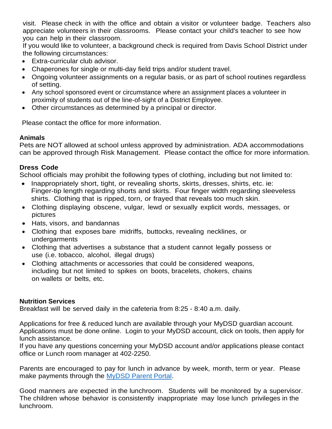visit. Please check in with the office and obtain a visitor or volunteer badge. Teachers also appreciate volunteers in their classrooms. Please contact your child's teacher to see how you can help in their classroom.

If you would like to volunteer, a background check is required from Davis School District under the following circumstances:

- Extra-curricular club advisor.
- Chaperones for single or multi-day field trips and/or student travel.
- Ongoing volunteer assignments on a regular basis, or as part of school routines regardless of setting.
- Any school sponsored event or circumstance where an assignment places a volunteer in proximity of students out of the line-of-sight of a District Employee.
- Other circumstances as determined by a principal or director.

Please contact the office for more information.

#### **Animals**

Pets are NOT allowed at school unless approved by administration. ADA accommodations can be approved through Risk Management. Please contact the office for more information.

#### **Dress Code**

School officials may prohibit the following types of clothing, including but not limited to:

- Inappropriately short, tight, or revealing shorts, skirts, dresses, shirts, etc. ie: Finger-tip length regarding shorts and skirts. Four finger width regarding sleeveless shirts. Clothing that is ripped, torn, or frayed that reveals too much skin.
- Clothing displaying obscene, vulgar, lewd or sexually explicit words, messages, or pictures
- Hats, visors, and bandannas
- Clothing that exposes bare midriffs, buttocks, revealing necklines, or undergarments
- Clothing that advertises a substance that a student cannot legally possess or use (i.e. tobacco, alcohol, illegal drugs)
- Clothing attachments or accessories that could be considered weapons, including but not limited to spikes on boots, bracelets, chokers, chains on wallets or belts, etc.

#### **Nutrition Services**

Breakfast will be served daily in the cafeteria from 8:25 - 8:40 a.m. daily.

Applications for free & reduced lunch are available through your MyDSD guardian account. Applications must be done online. Login to your MyDSD account, click on tools, then apply for lunch assistance.

If you have any questions concerning your MyDSD account and/or applications please contact office or Lunch room manager at 402-2250.

Parents are encouraged to pay for lunch in advance by week, month, term or year. Please make payments through the [MyDSD Parent Portal.](https://mydsd.davis.k12.ut.us/Account/Login?ReturnUrl=%2f)

Good manners are expected in the lunchroom. Students will be monitored by a supervisor. The children whose behavior is consistently inappropriate may lose lunch privileges in the lunchroom.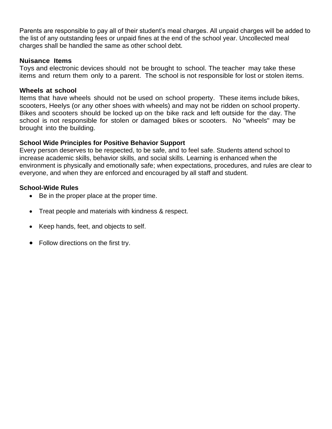Parents are responsible to pay all of their student's meal charges. All unpaid charges will be added to the list of any outstanding fees or unpaid fines at the end of the school year. Uncollected meal charges shall be handled the same as other school debt.

#### **Nuisance Items**

Toys and electronic devices should not be brought to school. The teacher may take these items and return them only to a parent. The school is not responsible for lost or stolen items.

#### **Wheels at school**

Items that have wheels should not be used on school property. These items include bikes, scooters, Heelys (or any other shoes with wheels) and may not be ridden on school property. Bikes and scooters should be locked up on the bike rack and left outside for the day. The school is not responsible for stolen or damaged bikes or scooters. No "wheels" may be brought into the building.

#### **School Wide Principles for Positive Behavior Support**

Every person deserves to be respected, to be safe, and to feel safe. Students attend school to increase academic skills, behavior skills, and social skills. Learning is enhanced when the environment is physically and emotionally safe; when expectations, procedures, and rules are clear to everyone, and when they are enforced and encouraged by all staff and student.

#### **School-Wide Rules**

- Be in the proper place at the proper time.
- Treat people and materials with kindness & respect.
- Keep hands, feet, and objects to self.
- Follow directions on the first try.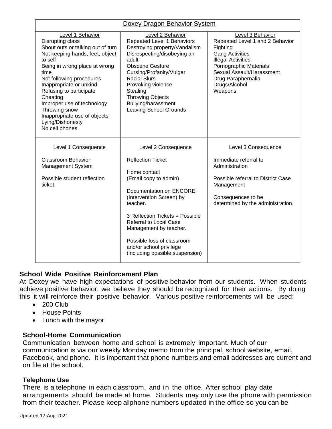| Doxey Dragon Behavior System                                                                                                                                                                                                                                                                                                                                                        |                                                                                                                                                                                                                                                                                                                                                              |                                                                                                                                                                                                                                 |  |
|-------------------------------------------------------------------------------------------------------------------------------------------------------------------------------------------------------------------------------------------------------------------------------------------------------------------------------------------------------------------------------------|--------------------------------------------------------------------------------------------------------------------------------------------------------------------------------------------------------------------------------------------------------------------------------------------------------------------------------------------------------------|---------------------------------------------------------------------------------------------------------------------------------------------------------------------------------------------------------------------------------|--|
| Level 1 Behavior<br>Disrupting class<br>Shout outs or talking out of turn<br>Not keeping hands, feet, object<br>to self<br>Being in wrong place at wrong<br>time<br>Not following procedures<br>Inappropriate or unkind<br>Refusing to participate<br>Cheating<br>Improper use of technology<br>Throwing snow<br>Inappropriate use of objects<br>Lying/Dishonesty<br>No cell phones | Level 2 Behavior<br>Repeated Level 1 Behaviors<br>Destroying property/Vandalism<br>Disrespecting/disobeying an<br>adult<br><b>Obscene Gesture</b><br>Cursing/Profanity/Vulgar<br><b>Racial Slurs</b><br>Provoking violence<br>Stealing<br><b>Throwing Objects</b><br>Bullying/harassment<br><b>Leaving School Grounds</b>                                    | Level 3 Behavior<br>Repeated Level 1 and 2 Behavior<br>Fighting<br><b>Gang Activities</b><br><b>Illegal Activities</b><br>Pornographic Materials<br>Sexual Assault/Harassment<br>Drug Paraphernalia<br>Drugs/Alcohol<br>Weapons |  |
| Level 1 Consequence<br><b>Classroom Behavior</b><br>Management System<br>Possible student reflection<br>ticket.                                                                                                                                                                                                                                                                     | <b>Level 2 Consequence</b><br><b>Reflection Ticket</b><br>Home contact<br>(Email copy to admin)<br>Documentation on ENCORE<br>(Intervention Screen) by<br>teacher.<br>3 Reflection Tickets = Possible<br><b>Referral to Local Case</b><br>Management by teacher.<br>Possible loss of classroom<br>and/or school privilege<br>(including possible suspension) | Level 3 Consequence<br>Immediate referral to<br>Administration<br>Possible referral to District Case<br>Management<br>Consequences to be<br>determined by the administration.                                                   |  |

#### **School Wide Positive Reinforcement Plan**

At Doxey we have high expectations of positive behavior from our students. When students achieve positive behavior, we believe they should be recognized for their actions. By doing this it will reinforce their positive behavior. Various positive reinforcements will be used:

- 200 Club
- House Points
- Lunch with the mayor.

#### **School-Home Communication**

Communication between home and school is extremely important. Much of our communication is via our weekly Monday memo from the principal, school website, email, Facebook, and phone. It is important that phone numbers and email addresses are current and on file at the school.

#### **Telephone Use**

There is a telephone in each classroom, and in the office. After school play date arrangements should be made at home. Students may only use the phone with permission from their teacher. Please keep all phone numbers updated in the office so you can be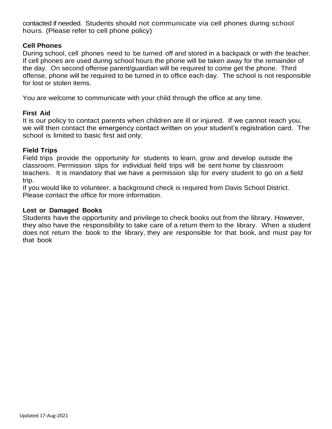contacted if needed. Students should not communicate via cell phones during school hours. (Please refer to cell phone policy)

#### **Cell Phones**

During school, cell phones need to be turned off and stored in a backpack or with the teacher. If cell phones are used during school hours the phone will be taken away for the remainder of the day. On second offense parent/guardian will be required to come get the phone. Third offense, phone will be required to be turned in to office each day. The school is not responsible for lost or stolen items.

You are welcome to communicate with your child through the office at any time.

#### **First Aid**

It is our policy to contact parents when children are ill or injured. If we cannot reach you, we will then contact the emergency contact written on your student's registration card. The school is limited to basic first aid only.

#### **Field Trips**

Field trips provide the opportunity for students to learn, grow and develop outside the classroom. Permission slips for individual field trips will be sent home by classroom teachers. It is mandatory that we have a permission slip for every student to go on a field trip.

If you would like to volunteer, a background check is required from Davis School District. Please contact the office for more information.

#### **Lost or Damaged Books**

Students have the opportunity and privilege to check books out from the library. However, they also have the responsibility to take care of a return them to the library. When a student does not return the book to the library, they are responsible for that book, and must pay for that book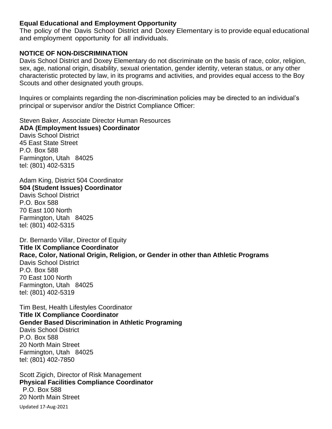#### **Equal Educational and Employment Opportunity**

The policy of the Davis School District and Doxey Elementary is to provide equal educational and employment opportunity for all individuals.

#### **NOTICE OF NON-DISCRIMINATION**

Davis School District and Doxey Elementary do not discriminate on the basis of race, color, religion, sex, age, national origin, disability, sexual orientation, gender identity, veteran status, or any other characteristic protected by law, in its programs and activities, and provides equal access to the Boy Scouts and other designated youth groups.

Inquires or complaints regarding the non-discrimination policies may be directed to an individual's principal or supervisor and/or the District Compliance Officer:

Steven Baker, Associate Director Human Resources **ADA (Employment Issues) Coordinator**

Davis School District 45 East State Street P.O. Box 588 Farmington, Utah 84025 tel: (801) 402-5315

Adam King, District 504 Coordinator **504 (Student Issues) Coordinator** Davis School District P.O. Box 588 70 East 100 North Farmington, Utah 84025 tel: (801) 402-5315

Dr. Bernardo Villar, Director of Equity **Title IX Compliance Coordinator Race, Color, National Origin, Religion, or Gender in other than Athletic Programs** Davis School District P.O. Box 588 70 East 100 North Farmington, Utah 84025 tel: (801) 402-5319

Tim Best, Health Lifestyles Coordinator **Title IX Compliance Coordinator Gender Based Discrimination in Athletic Programing** Davis School District P.O. Box 588 20 North Main Street Farmington, Utah 84025 tel: (801) 402-7850

Scott Zigich, Director of Risk Management **Physical Facilities Compliance Coordinator** P.O. Box 588 20 North Main Street

Updated 17-Aug-2021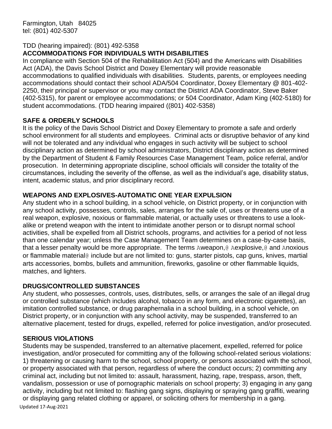#### TDD (hearing impaired): (801) 492-5358

#### **ACCOMMODATIONS FOR INDIVIDUALS WITH DISABILITIES**

In compliance with Section 504 of the Rehabilitation Act (504) and the Americans with Disabilities Act (ADA), the Davis School District and Doxey Elementary will provide reasonable accommodations to qualified individuals with disabilities. Students, parents, or employees needing accommodations should contact their school ADA/504 Coordinator, Doxey Elementary @ 801-402- 2250, their principal or supervisor or you may contact the District ADA Coordinator, Steve Baker (402-5315), for parent or employee accommodations; or 504 Coordinator, Adam King (402-5180) for student accommodations. (TDD hearing impaired ((801) 402-5358)

#### **SAFE & ORDERLY SCHOOLS**

It is the policy of the Davis School District and Doxey Elementary to promote a safe and orderly school environment for all students and employees. Criminal acts or disruptive behavior of any kind will not be tolerated and any individual who engages in such activity will be subject to school disciplinary action as determined by school administrators, District disciplinary action as determined by the Department of Student & Family Resources Case Management Team, police referral, and/or prosecution. In determining appropriate discipline, school officials will consider the totality of the circumstances, including the severity of the offense, as well as the individual's age, disability status, intent, academic status, and prior disciplinary record.

#### **WEAPONS AND EXPLOSIVES-AUTOMATIC ONE YEAR EXPULSION**

Any student who in a school building, in a school vehicle, on District property, or in conjunction with any school activity, possesses, controls, sales, arranges for the sale of, uses or threatens use of a real weapon, explosive, noxious or flammable material, or actually uses or threatens to use a lookalike or pretend weapon with the intent to intimidate another person or to disrupt normal school activities, shall be expelled from all District schools, programs, and activities for a period of not less than one calendar year; unless the Case Management Team determines on a case-by-case basis, that a lesser penalty would be more appropriate. The terms Aweapon,@ Aexplosive,@ and Anoxious or flammable material@ include but are not limited to: guns, starter pistols, cap guns, knives, martial arts accessories, bombs, bullets and ammunition, fireworks, gasoline or other flammable liquids, matches, and lighters.

#### **DRUGS/CONTROLLED SUBSTANCES**

Any student, who possesses, controls, uses, distributes, sells, or arranges the sale of an illegal drug or controlled substance (which includes alcohol, tobacco in any form, and electronic cigarettes), an imitation controlled substance, or drug paraphernalia in a school building, in a school vehicle, on District property, or in conjunction with any school activity, may be suspended, transferred to an alternative placement, tested for drugs, expelled, referred for police investigation, and/or prosecuted.

#### **SERIOUS VIOLATIONS**

Students may be suspended, transferred to an alternative placement, expelled, referred for police investigation, and/or prosecuted for committing any of the following school-related serious violations: 1) threatening or causing harm to the school, school property, or persons associated with the school, or property associated with that person, regardless of where the conduct occurs; 2) committing any criminal act, including but not limited to: assault, harassment, hazing, rape, trespass, arson, theft, vandalism, possession or use of pornographic materials on school property; 3) engaging in any gang activity, including but not limited to: flashing gang signs, displaying or spraying gang graffiti, wearing or displaying gang related clothing or apparel, or soliciting others for membership in a gang.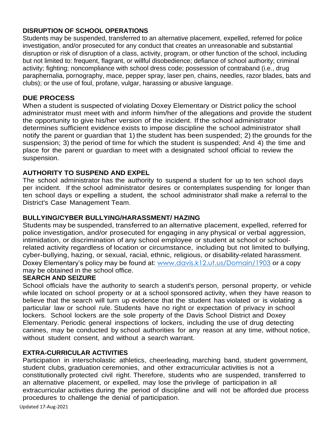#### **DISRUPTION OF SCHOOL OPERATIONS**

Students may be suspended, transferred to an alternative placement, expelled, referred for police investigation, and/or prosecuted for any conduct that creates an unreasonable and substantial disruption or risk of disruption of a class, activity, program, or other function of the school, including but not limited to: frequent, flagrant, or willful disobedience; defiance of school authority; criminal activity; fighting; noncompliance with school dress code; possession of contraband (i.e., drug paraphernalia, pornography, mace, pepper spray, laser pen, chains, needles, razor blades, bats and clubs); or the use of foul, profane, vulgar, harassing or abusive language.

#### **DUE PROCESS**

When a student is suspected of violating Doxey Elementary or District policy the school administrator must meet with and inform him/her of the allegations and provide the student the opportunity to give his/her version of the incident. If the school administrator determines sufficient evidence exists to impose discipline the school administrator shall notify the parent or guardian that 1) the student has been suspended; 2) the grounds for the suspension; 3) the period of time for which the student is suspended; And 4) the time and place for the parent or guardian to meet with a designated school official to review the suspension.

#### **AUTHORITY TO SUSPEND AND EXPEL**

The school administrator has the authority to suspend a student for up to ten school days per incident. If the school administrator desires or contemplates suspending for longer than ten school days or expelling a student, the school administrator shall make a referral to the District's Case Management Team.

#### **BULLYING/CYBER BULLYING/HARASSMENT/ HAZING**

Students may be suspended, transferred to an alternative placement, expelled, referred for police investigation, and/or prosecuted for engaging in any physical or verbal aggression, intimidation, or discrimination of any school employee or student at school or schoolrelated activity regardless of location or circumstance, including but not limited to bullying, cyber-bullying, hazing, or sexual, racial, ethnic, religious, or disability-related harassment. Doxey Elementary's policy may be found at: [www.davis.k12.ut.us/Domain/1903](http://www.davis.k12.ut.us/Domain/1903) or a copy may be obtained in the school office.

#### **SEARCH AND SEIZURE**

School officials have the authority to search a student's person, personal property, or vehicle while located on school property or at a school sponsored activity, when they have reason to believe that the search will turn up evidence that the student has violated or is violating a particular law or school rule. Students have no right or expectation of privacy in school lockers. School lockers are the sole property of the Davis School District and Doxey Elementary. Periodic general inspections of lockers, including the use of drug detecting canines, may be conducted by school authorities for any reason at any time, without notice, without student consent, and without a search warrant.

#### **EXTRA-CURRICULAR ACTIVITIES**

Participation in interscholastic athletics, cheerleading, marching band, student government, student clubs, graduation ceremonies, and other extracurricular activities is not a constitutionally protected civil right. Therefore, students who are suspended, transferred to an alternative placement, or expelled, may lose the privilege of participation in all extracurricular activities during the period of discipline and will not be afforded due process procedures to challenge the denial of participation.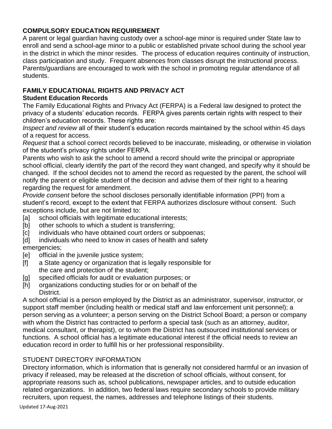#### **COMPULSORY EDUCATION REQUIREMENT**

A parent or legal guardian having custody over a school-age minor is required under State law to enroll and send a school-age minor to a public or established private school during the school year in the district in which the minor resides. The process of education requires continuity of instruction, class participation and study. Frequent absences from classes disrupt the instructional process. Parents/guardians are encouraged to work with the school in promoting regular attendance of all students.

#### **FAMILY EDUCATIONAL RIGHTS AND PRIVACY ACT**

#### **Student Education Records**

The Family Educational Rights and Privacy Act (FERPA) is a Federal law designed to protect the privacy of a students' education records. FERPA gives parents certain rights with respect to their children's education records. These rights are:

*Inspect and review* all of their student's education records maintained by the school within 45 days of a request for access.

*Request* that a school correct records believed to be inaccurate, misleading, or otherwise in violation of the student's privacy rights under FERPA.

Parents who wish to ask the school to amend a record should write the principal or appropriate school official, clearly identify the part of the record they want changed, and specify why it should be changed. If the school decides not to amend the record as requested by the parent, the school will notify the parent or eligible student of the decision and advise them of their right to a hearing regarding the request for amendment.

*Provide consent* before the school discloses personally identifiable information (PPI) from a student's record, except to the extent that FERPA authorizes disclosure without consent. Such exceptions include, but are not limited to:

- [a] school officials with legitimate educational interests;
- [b] other schools to which a student is transferring;
- [c] individuals who have obtained court orders or subpoenas;
- [d] individuals who need to know in cases of health and safety emergencies;
- [e] official in the juvenile justice system;
- [f] a State agency or organization that is legally responsible for the care and protection of the student;
- [g] specified officials for audit or evaluation purposes; or
- [h] organizations conducting studies for or on behalf of the District.

A school official is a person employed by the District as an administrator, supervisor, instructor, or support staff member (including health or medical staff and law enforcement unit personnel); a person serving as a volunteer; a person serving on the District School Board; a person or company with whom the District has contracted to perform a special task (such as an attorney, auditor, medical consultant, or therapist), or to whom the District has outsourced institutional services or functions. A school official has a legitimate educational interest if the official needs to review an education record in order to fulfill his or her professional responsibility.

#### STUDENT DIRECTORY INFORMATION

Directory information, which is information that is generally not considered harmful or an invasion of privacy if released, may be released at the discretion of school officials, without consent, for appropriate reasons such as, school publications, newspaper articles, and to outside education related organizations. In addition, two federal laws require secondary schools to provide military recruiters, upon request, the names, addresses and telephone listings of their students.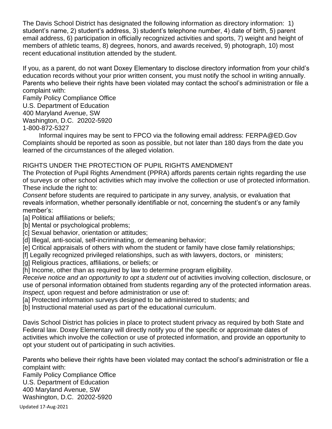The Davis School District has designated the following information as directory information: 1) student's name, 2) student's address, 3) student's telephone number, 4) date of birth, 5) parent email address, 6) participation in officially recognized activities and sports, 7) weight and height of members of athletic teams, 8) degrees, honors, and awards received, 9) photograph, 10) most recent educational institution attended by the student.

If you, as a parent, do not want Doxey Elementary to disclose directory information from your child's education records without your prior written consent, you must notify the school in writing annually. Parents who believe their rights have been violated may contact the school's administration or file a complaint with:

Family Policy Compliance Office U.S. Department of Education 400 Maryland Avenue, SW Washington, D.C. 20202-5920 1-800-872-5327

Informal inquires may be sent to FPCO via the following email address: FERPA@ED.Gov Complaints should be reported as soon as possible, but not later than 180 days from the date you learned of the circumstances of the alleged violation.

#### RIGHTS UNDER THE PROTECTION OF PUPIL RIGHTS AMENDMENT

The Protection of Pupil Rights Amendment (PPRA) affords parents certain rights regarding the use of surveys or other school activities which may involve the collection or use of protected information. These include the right to:

*Consent* before students are required to participate in any survey, analysis, or evaluation that reveals information, whether personally identifiable or not, concerning the student's or any family member's:

- [a] Political affiliations or beliefs;
- [b] Mental or psychological problems;
- [c] Sexual behavior, orientation or attitudes;
- [d] Illegal, anti-social, self-incriminating, or demeaning behavior;
- [e] Critical appraisals of others with whom the student or family have close family relationships;
- [f] Legally recognized privileged relationships, such as with lawyers, doctors, or ministers;
- [a] Religious practices, affiliations, or beliefs; or
- [h] Income, other than as required by law to determine program eligibility.

*Receive notice and an opportunity to opt a student out* of activities involving collection, disclosure, or use of personal information obtained from students regarding any of the protected information areas. *Inspect,* upon request and before administration or use of:

- [a] Protected information surveys designed to be administered to students; and
- [b] Instructional material used as part of the educational curriculum.

Davis School District has policies in place to protect student privacy as required by both State and Federal law. Doxey Elementary will directly notify you of the specific or approximate dates of activities which involve the collection or use of protected information, and provide an opportunity to opt your student out of participating in such activities.

Parents who believe their rights have been violated may contact the school's administration or file a complaint with:

Family Policy Compliance Office U.S. Department of Education 400 Maryland Avenue, SW Washington, D.C. 20202-5920

Updated 17-Aug-2021